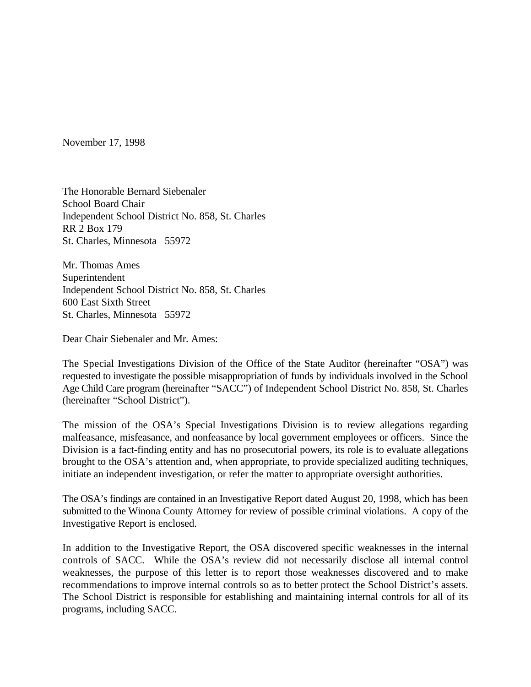November 17, 1998

The Honorable Bernard Siebenaler School Board Chair Independent School District No. 858, St. Charles RR 2 Box 179 St. Charles, Minnesota 55972

Mr. Thomas Ames Superintendent Independent School District No. 858, St. Charles 600 East Sixth Street St. Charles, Minnesota 55972

Dear Chair Siebenaler and Mr. Ames:

The Special Investigations Division of the Office of the State Auditor (hereinafter "OSA") was requested to investigate the possible misappropriation of funds by individuals involved in the School Age Child Care program (hereinafter "SACC") of Independent School District No. 858, St. Charles (hereinafter "School District").

The mission of the OSA's Special Investigations Division is to review allegations regarding malfeasance, misfeasance, and nonfeasance by local government employees or officers. Since the Division is a fact-finding entity and has no prosecutorial powers, its role is to evaluate allegations brought to the OSA's attention and, when appropriate, to provide specialized auditing techniques, initiate an independent investigation, or refer the matter to appropriate oversight authorities.

The OSA's findings are contained in an Investigative Report dated August 20, 1998, which has been submitted to the Winona County Attorney for review of possible criminal violations. A copy of the Investigative Report is enclosed.

In addition to the Investigative Report, the OSA discovered specific weaknesses in the internal controls of SACC. While the OSA's review did not necessarily disclose all internal control weaknesses, the purpose of this letter is to report those weaknesses discovered and to make recommendations to improve internal controls so as to better protect the School District's assets. The School District is responsible for establishing and maintaining internal controls for all of its programs, including SACC.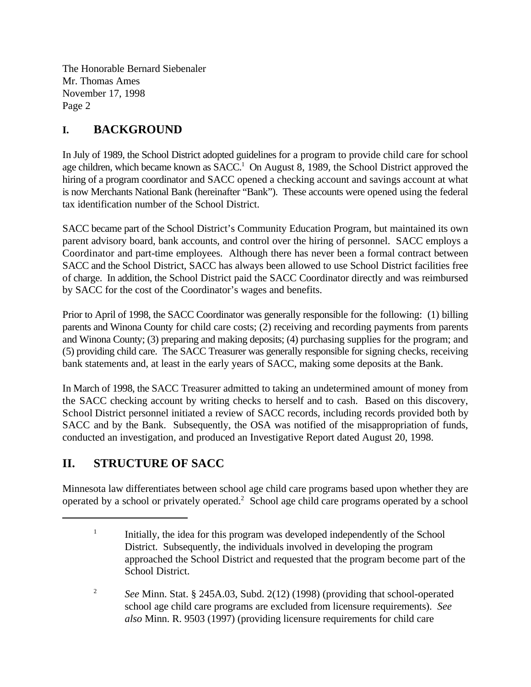## **I. BACKGROUND**

In July of 1989, the School District adopted guidelines for a program to provide child care for school age children, which became known as  $SACC<sup>1</sup>$  On August 8, 1989, the School District approved the hiring of a program coordinator and SACC opened a checking account and savings account at what is now Merchants National Bank (hereinafter "Bank"). These accounts were opened using the federal tax identification number of the School District.

SACC became part of the School District's Community Education Program, but maintained its own parent advisory board, bank accounts, and control over the hiring of personnel. SACC employs a Coordinator and part-time employees. Although there has never been a formal contract between SACC and the School District, SACC has always been allowed to use School District facilities free of charge. In addition, the School District paid the SACC Coordinator directly and was reimbursed by SACC for the cost of the Coordinator's wages and benefits.

Prior to April of 1998, the SACC Coordinator was generally responsible for the following: (1) billing parents and Winona County for child care costs; (2) receiving and recording payments from parents and Winona County; (3) preparing and making deposits; (4) purchasing supplies for the program; and (5) providing child care. The SACC Treasurer was generally responsible for signing checks, receiving bank statements and, at least in the early years of SACC, making some deposits at the Bank.

In March of 1998, the SACC Treasurer admitted to taking an undetermined amount of money from the SACC checking account by writing checks to herself and to cash. Based on this discovery, School District personnel initiated a review of SACC records, including records provided both by SACC and by the Bank. Subsequently, the OSA was notified of the misappropriation of funds, conducted an investigation, and produced an Investigative Report dated August 20, 1998.

# **II. STRUCTURE OF SACC**

Minnesota law differentiates between school age child care programs based upon whether they are operated by a school or privately operated.<sup>2</sup> School age child care programs operated by a school

 $\frac{1}{1}$  Initially, the idea for this program was developed independently of the School District. Subsequently, the individuals involved in developing the program approached the School District and requested that the program become part of the School District.

<sup>&</sup>lt;sup>2</sup> See Minn. Stat. § 245A.03, Subd. 2(12) (1998) (providing that school-operated school age child care programs are excluded from licensure requirements). *See also* Minn. R. 9503 (1997) (providing licensure requirements for child care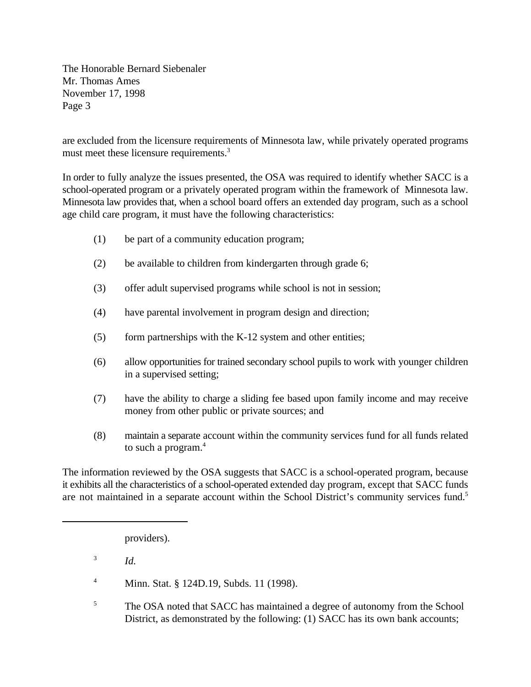are excluded from the licensure requirements of Minnesota law, while privately operated programs must meet these licensure requirements.<sup>3</sup>

In order to fully analyze the issues presented, the OSA was required to identify whether SACC is a school-operated program or a privately operated program within the framework of Minnesota law. Minnesota law provides that, when a school board offers an extended day program, such as a school age child care program, it must have the following characteristics:

- (1) be part of a community education program;
- (2) be available to children from kindergarten through grade 6;
- (3) offer adult supervised programs while school is not in session;
- (4) have parental involvement in program design and direction;
- $(5)$  form partnerships with the K-12 system and other entities;
- (6) allow opportunities for trained secondary school pupils to work with younger children in a supervised setting;
- (7) have the ability to charge a sliding fee based upon family income and may receive money from other public or private sources; and
- (8) maintain a separate account within the community services fund for all funds related to such a program.<sup>4</sup>

The information reviewed by the OSA suggests that SACC is a school-operated program, because it exhibits all the characteristics of a school-operated extended day program, except that SACC funds are not maintained in a separate account within the School District's community services fund.<sup>5</sup>

providers).

 $^{3}$  *Id.* 

- <sup>4</sup> Minn. Stat. § 124D.19, Subds. 11 (1998).
- <sup>5</sup> The OSA noted that SACC has maintained a degree of autonomy from the School District, as demonstrated by the following: (1) SACC has its own bank accounts;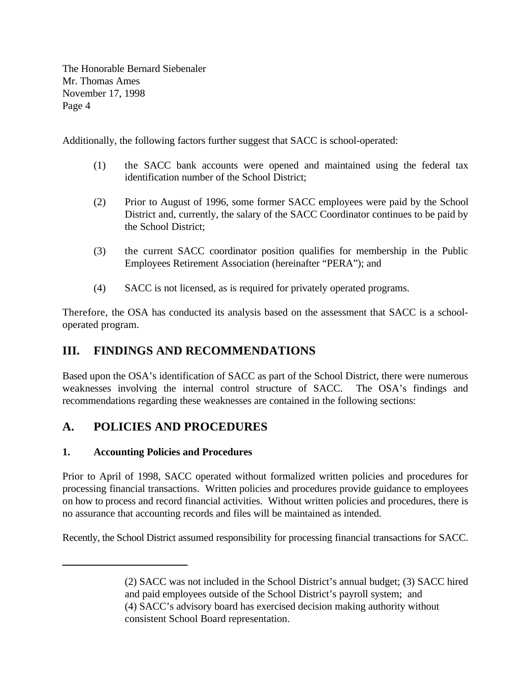Additionally, the following factors further suggest that SACC is school-operated:

- (1) the SACC bank accounts were opened and maintained using the federal tax identification number of the School District;
- (2) Prior to August of 1996, some former SACC employees were paid by the School District and, currently, the salary of the SACC Coordinator continues to be paid by the School District;
- (3) the current SACC coordinator position qualifies for membership in the Public Employees Retirement Association (hereinafter "PERA"); and
- (4) SACC is not licensed, as is required for privately operated programs.

Therefore, the OSA has conducted its analysis based on the assessment that SACC is a schooloperated program.

## **III. FINDINGS AND RECOMMENDATIONS**

Based upon the OSA's identification of SACC as part of the School District, there were numerous weaknesses involving the internal control structure of SACC. The OSA's findings and recommendations regarding these weaknesses are contained in the following sections:

# **A. POLICIES AND PROCEDURES**

### **1. Accounting Policies and Procedures**

Prior to April of 1998, SACC operated without formalized written policies and procedures for processing financial transactions. Written policies and procedures provide guidance to employees on how to process and record financial activities. Without written policies and procedures, there is no assurance that accounting records and files will be maintained as intended.

Recently, the School District assumed responsibility for processing financial transactions for SACC.

<sup>(2)</sup> SACC was not included in the School District's annual budget; (3) SACC hired and paid employees outside of the School District's payroll system; and (4) SACC's advisory board has exercised decision making authority without consistent School Board representation.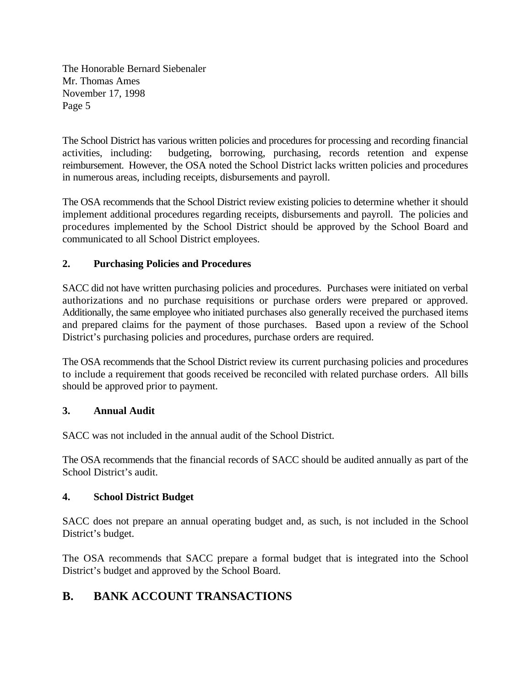The School District has various written policies and procedures for processing and recording financial activities, including: budgeting, borrowing, purchasing, records retention and expense reimbursement. However, the OSA noted the School District lacks written policies and procedures in numerous areas, including receipts, disbursements and payroll.

The OSA recommends that the School District review existing policies to determine whether it should implement additional procedures regarding receipts, disbursements and payroll. The policies and procedures implemented by the School District should be approved by the School Board and communicated to all School District employees.

### **2. Purchasing Policies and Procedures**

SACC did not have written purchasing policies and procedures. Purchases were initiated on verbal authorizations and no purchase requisitions or purchase orders were prepared or approved. Additionally, the same employee who initiated purchases also generally received the purchased items and prepared claims for the payment of those purchases. Based upon a review of the School District's purchasing policies and procedures, purchase orders are required.

The OSA recommends that the School District review its current purchasing policies and procedures to include a requirement that goods received be reconciled with related purchase orders. All bills should be approved prior to payment.

#### **3. Annual Audit**

SACC was not included in the annual audit of the School District.

The OSA recommends that the financial records of SACC should be audited annually as part of the School District's audit.

#### **4. School District Budget**

SACC does not prepare an annual operating budget and, as such, is not included in the School District's budget.

The OSA recommends that SACC prepare a formal budget that is integrated into the School District's budget and approved by the School Board.

## **B. BANK ACCOUNT TRANSACTIONS**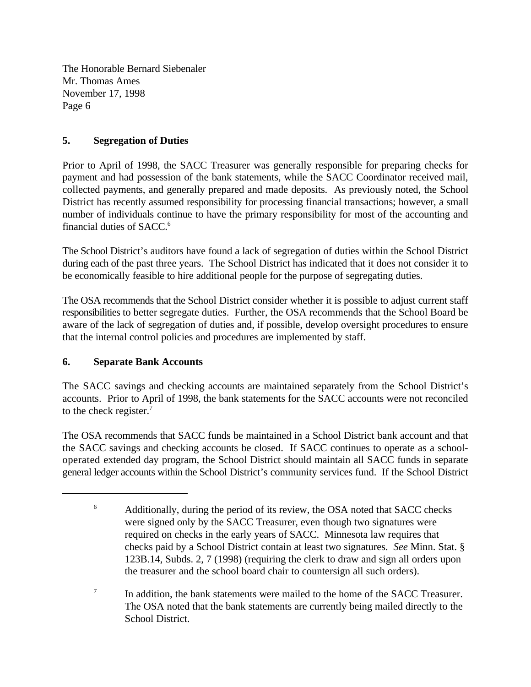### **5. Segregation of Duties**

Prior to April of 1998, the SACC Treasurer was generally responsible for preparing checks for payment and had possession of the bank statements, while the SACC Coordinator received mail, collected payments, and generally prepared and made deposits. As previously noted, the School District has recently assumed responsibility for processing financial transactions; however, a small number of individuals continue to have the primary responsibility for most of the accounting and financial duties of SACC.<sup>6</sup>

The School District's auditors have found a lack of segregation of duties within the School District during each of the past three years. The School District has indicated that it does not consider it to be economically feasible to hire additional people for the purpose of segregating duties.

The OSA recommends that the School District consider whether it is possible to adjust current staff responsibilities to better segregate duties. Further, the OSA recommends that the School Board be aware of the lack of segregation of duties and, if possible, develop oversight procedures to ensure that the internal control policies and procedures are implemented by staff.

### **6. Separate Bank Accounts**

The SACC savings and checking accounts are maintained separately from the School District's accounts. Prior to April of 1998, the bank statements for the SACC accounts were not reconciled to the check register.<sup>7</sup>

The OSA recommends that SACC funds be maintained in a School District bank account and that the SACC savings and checking accounts be closed. If SACC continues to operate as a schooloperated extended day program, the School District should maintain all SACC funds in separate general ledger accounts within the School District's community services fund. If the School District

<sup>&</sup>lt;sup>6</sup> Additionally, during the period of its review, the OSA noted that SACC checks were signed only by the SACC Treasurer, even though two signatures were required on checks in the early years of SACC. Minnesota law requires that checks paid by a School District contain at least two signatures. *See* Minn. Stat. § 123B.14, Subds. 2, 7 (1998) (requiring the clerk to draw and sign all orders upon the treasurer and the school board chair to countersign all such orders).

 $\frac{1}{10}$  In addition, the bank statements were mailed to the home of the SACC Treasurer. The OSA noted that the bank statements are currently being mailed directly to the School District.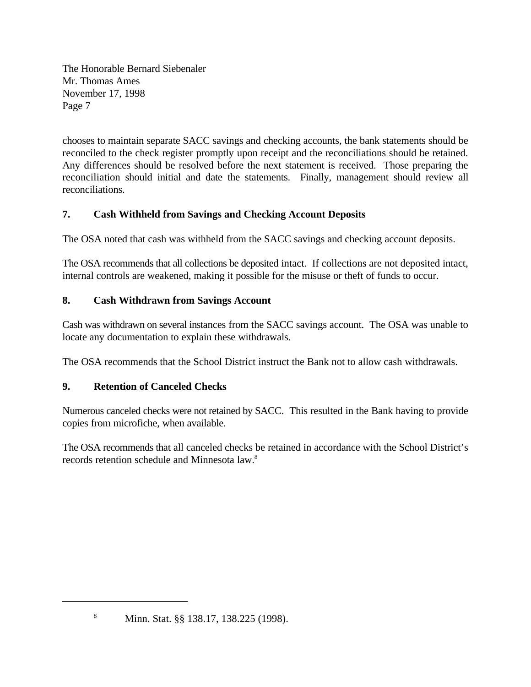chooses to maintain separate SACC savings and checking accounts, the bank statements should be reconciled to the check register promptly upon receipt and the reconciliations should be retained. Any differences should be resolved before the next statement is received. Those preparing the reconciliation should initial and date the statements. Finally, management should review all reconciliations.

## **7. Cash Withheld from Savings and Checking Account Deposits**

The OSA noted that cash was withheld from the SACC savings and checking account deposits.

The OSA recommends that all collections be deposited intact. If collections are not deposited intact, internal controls are weakened, making it possible for the misuse or theft of funds to occur.

### **8. Cash Withdrawn from Savings Account**

Cash was withdrawn on several instances from the SACC savings account. The OSA was unable to locate any documentation to explain these withdrawals.

The OSA recommends that the School District instruct the Bank not to allow cash withdrawals.

### **9. Retention of Canceled Checks**

Numerous canceled checks were not retained by SACC. This resulted in the Bank having to provide copies from microfiche, when available.

The OSA recommends that all canceled checks be retained in accordance with the School District's records retention schedule and Minnesota law.8

<sup>&</sup>lt;sup>8</sup> Minn. Stat. §§ 138.17, 138.225 (1998).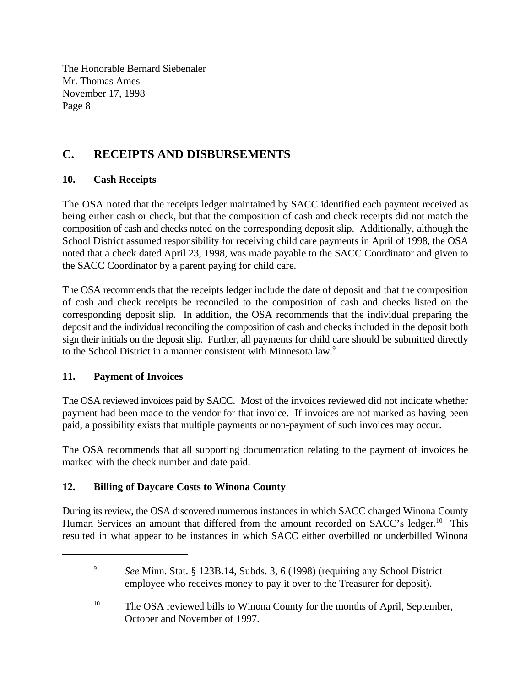# **C. RECEIPTS AND DISBURSEMENTS**

### **10. Cash Receipts**

The OSA noted that the receipts ledger maintained by SACC identified each payment received as being either cash or check, but that the composition of cash and check receipts did not match the composition of cash and checks noted on the corresponding deposit slip. Additionally, although the School District assumed responsibility for receiving child care payments in April of 1998, the OSA noted that a check dated April 23, 1998, was made payable to the SACC Coordinator and given to the SACC Coordinator by a parent paying for child care.

The OSA recommends that the receipts ledger include the date of deposit and that the composition of cash and check receipts be reconciled to the composition of cash and checks listed on the corresponding deposit slip. In addition, the OSA recommends that the individual preparing the deposit and the individual reconciling the composition of cash and checks included in the deposit both sign their initials on the deposit slip. Further, all payments for child care should be submitted directly to the School District in a manner consistent with Minnesota law.<sup>9</sup>

### **11. Payment of Invoices**

The OSA reviewed invoices paid by SACC. Most of the invoices reviewed did not indicate whether payment had been made to the vendor for that invoice. If invoices are not marked as having been paid, a possibility exists that multiple payments or non-payment of such invoices may occur.

The OSA recommends that all supporting documentation relating to the payment of invoices be marked with the check number and date paid.

### **12. Billing of Daycare Costs to Winona County**

During its review, the OSA discovered numerous instances in which SACC charged Winona County Human Services an amount that differed from the amount recorded on SACC's ledger.<sup>10</sup> This resulted in what appear to be instances in which SACC either overbilled or underbilled Winona

<sup>&</sup>lt;sup>9</sup> See Minn. Stat. § 123B.14, Subds. 3, 6 (1998) (requiring any School District employee who receives money to pay it over to the Treasurer for deposit).

 $^{10}$  The OSA reviewed bills to Winona County for the months of April, September, October and November of 1997.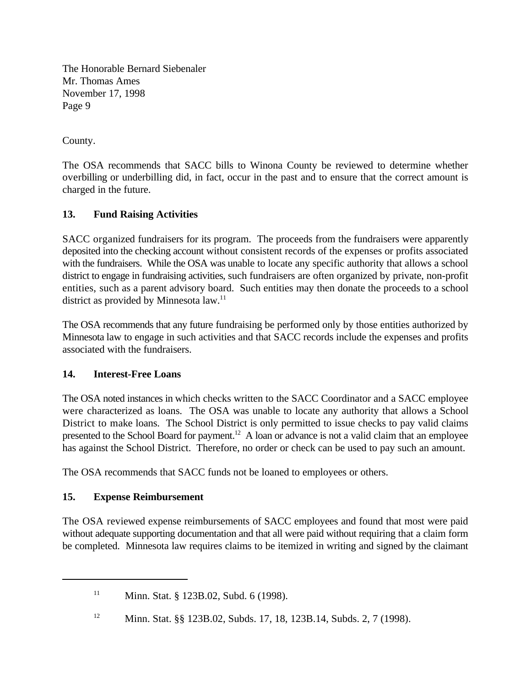County.

The OSA recommends that SACC bills to Winona County be reviewed to determine whether overbilling or underbilling did, in fact, occur in the past and to ensure that the correct amount is charged in the future.

### **13. Fund Raising Activities**

SACC organized fundraisers for its program. The proceeds from the fundraisers were apparently deposited into the checking account without consistent records of the expenses or profits associated with the fundraisers. While the OSA was unable to locate any specific authority that allows a school district to engage in fundraising activities, such fundraisers are often organized by private, non-profit entities, such as a parent advisory board. Such entities may then donate the proceeds to a school district as provided by Minnesota law.<sup>11</sup>

The OSA recommends that any future fundraising be performed only by those entities authorized by Minnesota law to engage in such activities and that SACC records include the expenses and profits associated with the fundraisers.

### **14. Interest-Free Loans**

The OSA noted instances in which checks written to the SACC Coordinator and a SACC employee were characterized as loans. The OSA was unable to locate any authority that allows a School District to make loans. The School District is only permitted to issue checks to pay valid claims presented to the School Board for payment.<sup>12</sup> A loan or advance is not a valid claim that an employee has against the School District. Therefore, no order or check can be used to pay such an amount.

The OSA recommends that SACC funds not be loaned to employees or others.

### **15. Expense Reimbursement**

The OSA reviewed expense reimbursements of SACC employees and found that most were paid without adequate supporting documentation and that all were paid without requiring that a claim form be completed. Minnesota law requires claims to be itemized in writing and signed by the claimant

 $\text{Min. Stat. }$  § 123B.02, Subd. 6 (1998).

<sup>&</sup>lt;sup>12</sup> Minn. Stat. §§ 123B.02, Subds. 17, 18, 123B.14, Subds. 2, 7 (1998).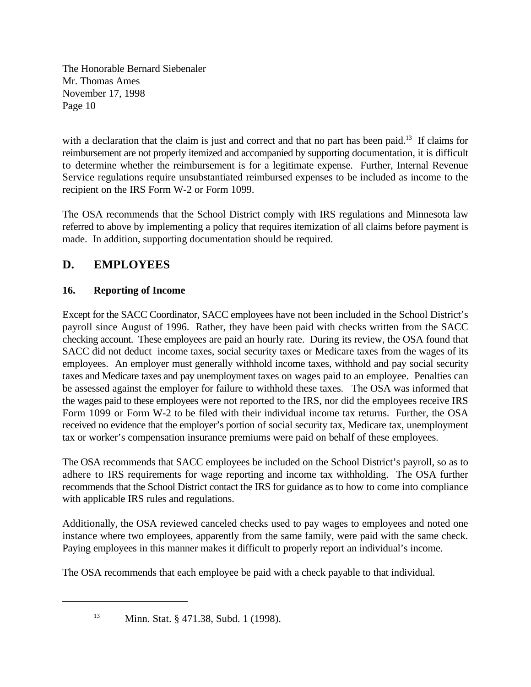with a declaration that the claim is just and correct and that no part has been paid.<sup>13</sup> If claims for reimbursement are not properly itemized and accompanied by supporting documentation, it is difficult to determine whether the reimbursement is for a legitimate expense. Further, Internal Revenue Service regulations require unsubstantiated reimbursed expenses to be included as income to the recipient on the IRS Form W-2 or Form 1099.

The OSA recommends that the School District comply with IRS regulations and Minnesota law referred to above by implementing a policy that requires itemization of all claims before payment is made. In addition, supporting documentation should be required.

# **D. EMPLOYEES**

## **16. Reporting of Income**

Except for the SACC Coordinator, SACC employees have not been included in the School District's payroll since August of 1996. Rather, they have been paid with checks written from the SACC checking account. These employees are paid an hourly rate. During its review, the OSA found that SACC did not deduct income taxes, social security taxes or Medicare taxes from the wages of its employees. An employer must generally withhold income taxes, withhold and pay social security taxes and Medicare taxes and pay unemployment taxes on wages paid to an employee. Penalties can be assessed against the employer for failure to withhold these taxes. The OSA was informed that the wages paid to these employees were not reported to the IRS, nor did the employees receive IRS Form 1099 or Form W-2 to be filed with their individual income tax returns. Further, the OSA received no evidence that the employer's portion of social security tax, Medicare tax, unemployment tax or worker's compensation insurance premiums were paid on behalf of these employees.

The OSA recommends that SACC employees be included on the School District's payroll, so as to adhere to IRS requirements for wage reporting and income tax withholding. The OSA further recommends that the School District contact the IRS for guidance as to how to come into compliance with applicable IRS rules and regulations.

Additionally, the OSA reviewed canceled checks used to pay wages to employees and noted one instance where two employees, apparently from the same family, were paid with the same check. Paying employees in this manner makes it difficult to properly report an individual's income.

The OSA recommends that each employee be paid with a check payable to that individual.

<sup>13</sup> Minn. Stat. § 471.38, Subd. 1 (1998).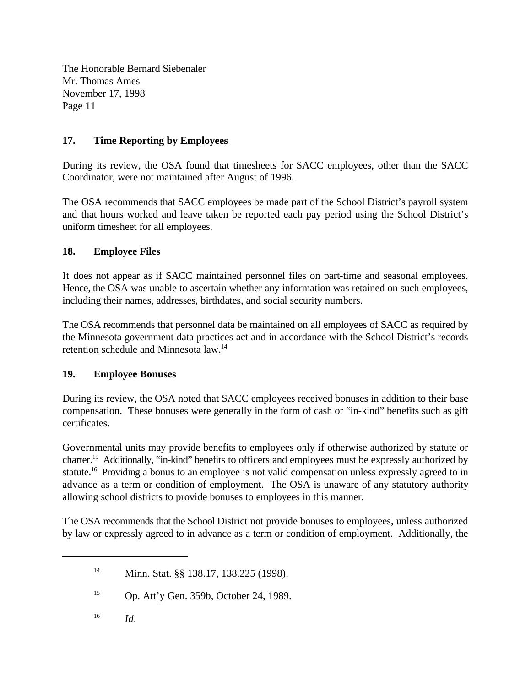### **17. Time Reporting by Employees**

During its review, the OSA found that timesheets for SACC employees, other than the SACC Coordinator, were not maintained after August of 1996.

The OSA recommends that SACC employees be made part of the School District's payroll system and that hours worked and leave taken be reported each pay period using the School District's uniform timesheet for all employees.

### **18. Employee Files**

It does not appear as if SACC maintained personnel files on part-time and seasonal employees. Hence, the OSA was unable to ascertain whether any information was retained on such employees, including their names, addresses, birthdates, and social security numbers.

The OSA recommends that personnel data be maintained on all employees of SACC as required by the Minnesota government data practices act and in accordance with the School District's records retention schedule and Minnesota law.<sup>14</sup>

### **19. Employee Bonuses**

During its review, the OSA noted that SACC employees received bonuses in addition to their base compensation. These bonuses were generally in the form of cash or "in-kind" benefits such as gift certificates.

Governmental units may provide benefits to employees only if otherwise authorized by statute or charter.<sup>15</sup> Additionally, "in-kind" benefits to officers and employees must be expressly authorized by statute.<sup>16</sup> Providing a bonus to an employee is not valid compensation unless expressly agreed to in advance as a term or condition of employment. The OSA is unaware of any statutory authority allowing school districts to provide bonuses to employees in this manner.

The OSA recommends that the School District not provide bonuses to employees, unless authorized by law or expressly agreed to in advance as a term or condition of employment. Additionally, the

<sup>14</sup> Minn. Stat. §§ 138.17, 138.225 (1998).

 $D<sub>15</sub>$  Op. Att'y Gen. 359b, October 24, 1989.

*Id*. 16